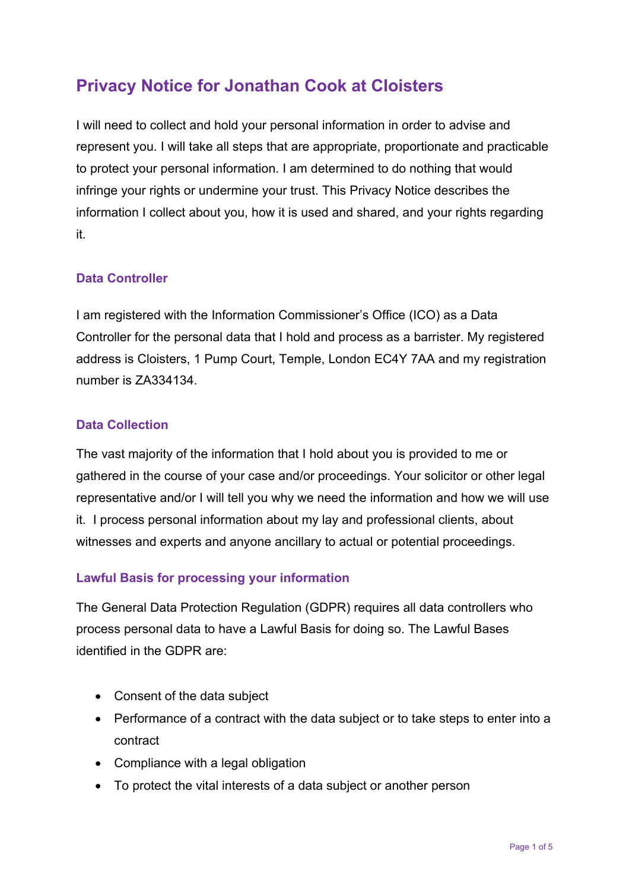# **Privacy Notice for Jonathan Cook at Cloisters**

I will need to collect and hold your personal information in order to advise and represent you. I will take all steps that are appropriate, proportionate and practicable to protect your personal information. I am determined to do nothing that would infringe your rights or undermine your trust. This Privacy Notice describes the information I collect about you, how it is used and shared, and your rights regarding it.

# **Data Controller**

I am registered with the Information Commissioner's Office (ICO) as a Data Controller for the personal data that I hold and process as a barrister. My registered address is Cloisters, 1 Pump Court, Temple, London EC4Y 7AA and my registration number is ZA334134.

#### **Data Collection**

The vast majority of the information that I hold about you is provided to me or gathered in the course of your case and/or proceedings. Your solicitor or other legal representative and/or I will tell you why we need the information and how we will use it. I process personal information about my lay and professional clients, about witnesses and experts and anyone ancillary to actual or potential proceedings.

# **Lawful Basis for processing your information**

The General Data Protection Regulation (GDPR) requires all data controllers who process personal data to have a Lawful Basis for doing so. The Lawful Bases identified in the GDPR are:

- Consent of the data subject
- Performance of a contract with the data subject or to take steps to enter into a contract
- Compliance with a legal obligation
- To protect the vital interests of a data subject or another person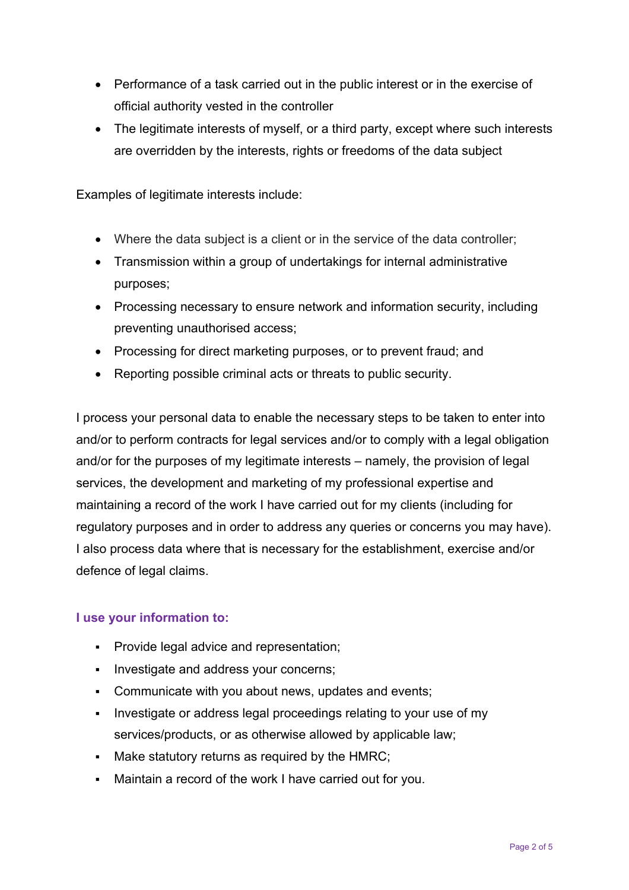- Performance of a task carried out in the public interest or in the exercise of official authority vested in the controller
- The legitimate interests of myself, or a third party, except where such interests are overridden by the interests, rights or freedoms of the data subject

Examples of legitimate interests include:

- Where the data subject is a client or in the service of the data controller;
- Transmission within a group of undertakings for internal administrative purposes;
- Processing necessary to ensure network and information security, including preventing unauthorised access;
- Processing for direct marketing purposes, or to prevent fraud; and
- Reporting possible criminal acts or threats to public security.

I process your personal data to enable the necessary steps to be taken to enter into and/or to perform contracts for legal services and/or to comply with a legal obligation and/or for the purposes of my legitimate interests – namely, the provision of legal services, the development and marketing of my professional expertise and maintaining a record of the work I have carried out for my clients (including for regulatory purposes and in order to address any queries or concerns you may have). I also process data where that is necessary for the establishment, exercise and/or defence of legal claims.

#### **I use your information to:**

- **Provide legal advice and representation;**
- **Investigate and address your concerns;**
- Communicate with you about news, updates and events;
- Investigate or address legal proceedings relating to your use of my services/products, or as otherwise allowed by applicable law;
- Make statutory returns as required by the HMRC;
- Maintain a record of the work I have carried out for you.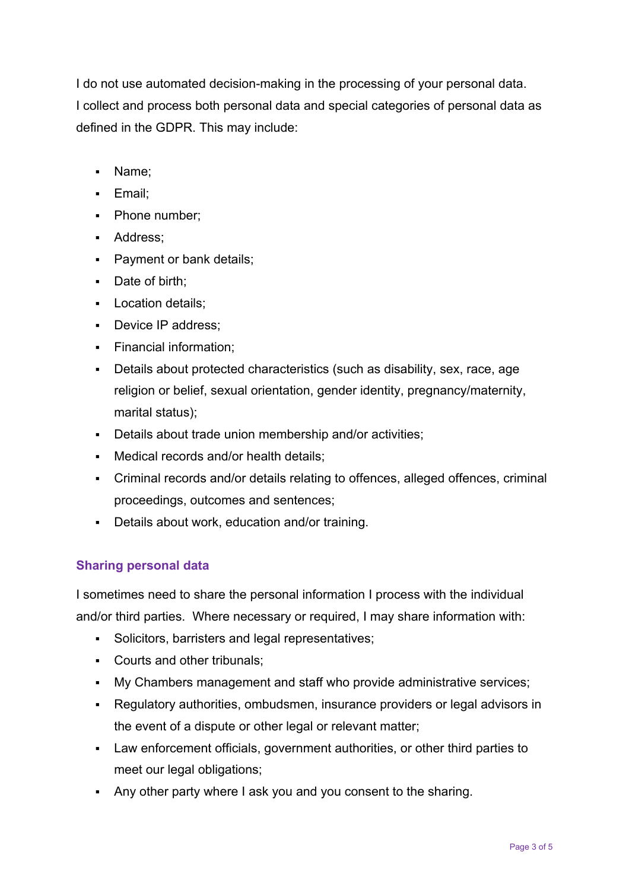I do not use automated decision-making in the processing of your personal data. I collect and process both personal data and special categories of personal data as defined in the GDPR. This may include:

- Name;
- **Email:**
- Phone number:
- **Address**;
- **Payment or bank details;**
- Date of birth;
- **Location details;**
- Device IP address;
- **Financial information:**
- Details about protected characteristics (such as disability, sex, race, age religion or belief, sexual orientation, gender identity, pregnancy/maternity, marital status);
- Details about trade union membership and/or activities;
- Medical records and/or health details;
- Criminal records and/or details relating to offences, alleged offences, criminal proceedings, outcomes and sentences;
- Details about work, education and/or training.

# **Sharing personal data**

I sometimes need to share the personal information I process with the individual and/or third parties. Where necessary or required, I may share information with:

- Solicitors, barristers and legal representatives;
- Courts and other tribunals;
- My Chambers management and staff who provide administrative services;
- Regulatory authorities, ombudsmen, insurance providers or legal advisors in the event of a dispute or other legal or relevant matter;
- Law enforcement officials, government authorities, or other third parties to meet our legal obligations;
- Any other party where I ask you and you consent to the sharing.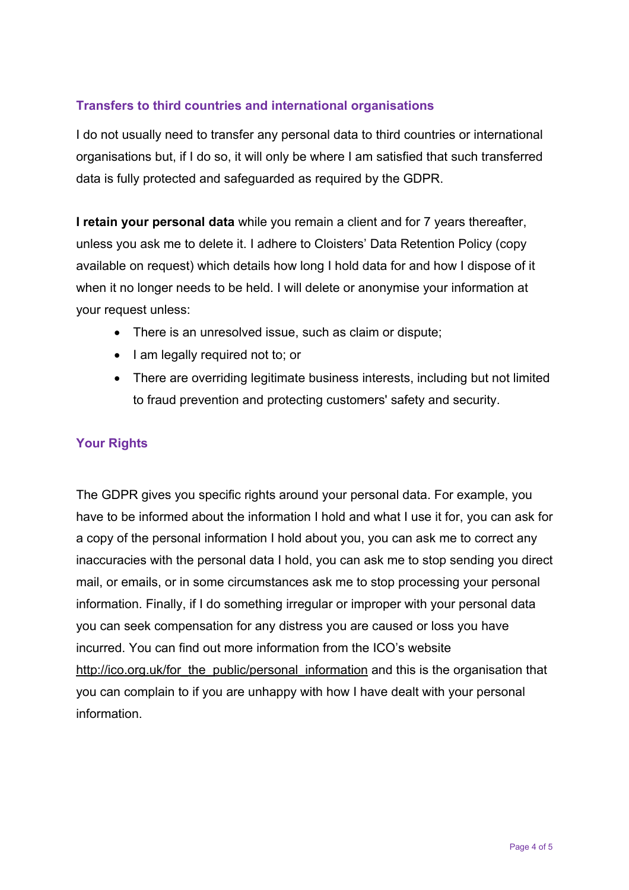# **Transfers to third countries and international organisations**

I do not usually need to transfer any personal data to third countries or international organisations but, if I do so, it will only be where I am satisfied that such transferred data is fully protected and safeguarded as required by the GDPR.

**I retain your personal data** while you remain a client and for 7 years thereafter, unless you ask me to delete it. I adhere to Cloisters' Data Retention Policy (copy available on request) which details how long I hold data for and how I dispose of it when it no longer needs to be held. I will delete or anonymise your information at your request unless:

- There is an unresolved issue, such as claim or dispute;
- I am legally required not to; or
- There are overriding legitimate business interests, including but not limited to fraud prevention and protecting customers' safety and security.

# **Your Rights**

The GDPR gives you specific rights around your personal data. For example, you have to be informed about the information I hold and what I use it for, you can ask for a copy of the personal information I hold about you, you can ask me to correct any inaccuracies with the personal data I hold, you can ask me to stop sending you direct mail, or emails, or in some circumstances ask me to stop processing your personal information. Finally, if I do something irregular or improper with your personal data you can seek compensation for any distress you are caused or loss you have incurred. You can find out more information from the ICO's website http://ico.org.uk/for\_the\_public/personal\_information and this is the organisation that you can complain to if you are unhappy with how I have dealt with your personal information.